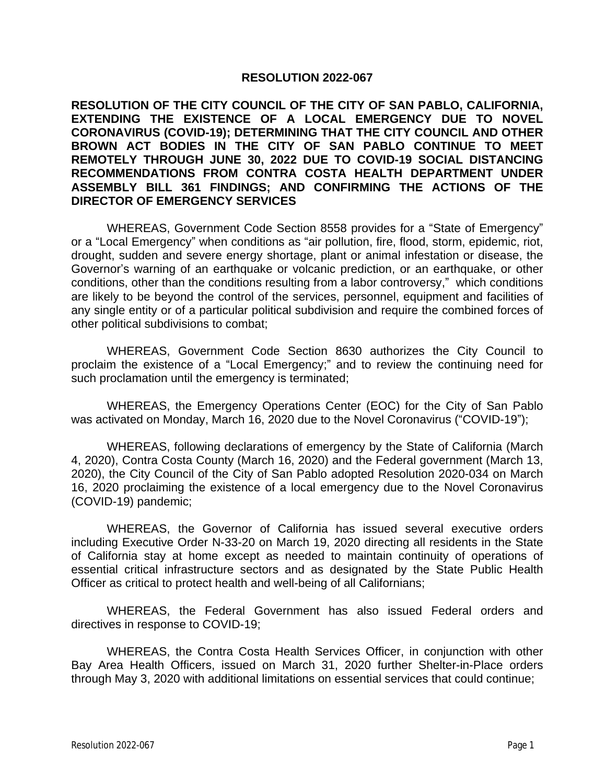## **RESOLUTION 2022-067**

**RESOLUTION OF THE CITY COUNCIL OF THE CITY OF SAN PABLO, CALIFORNIA, EXTENDING THE EXISTENCE OF A LOCAL EMERGENCY DUE TO NOVEL CORONAVIRUS (COVID-19); DETERMINING THAT THE CITY COUNCIL AND OTHER BROWN ACT BODIES IN THE CITY OF SAN PABLO CONTINUE TO MEET REMOTELY THROUGH JUNE 30, 2022 DUE TO COVID-19 SOCIAL DISTANCING RECOMMENDATIONS FROM CONTRA COSTA HEALTH DEPARTMENT UNDER ASSEMBLY BILL 361 FINDINGS; AND CONFIRMING THE ACTIONS OF THE DIRECTOR OF EMERGENCY SERVICES**

WHEREAS, Government Code Section 8558 provides for a "State of Emergency" or a "Local Emergency" when conditions as "air pollution, fire, flood, storm, epidemic, riot, drought, sudden and severe energy shortage, plant or animal infestation or disease, the Governor's warning of an earthquake or volcanic prediction, or an earthquake, or other conditions, other than the conditions resulting from a labor controversy," which conditions are likely to be beyond the control of the services, personnel, equipment and facilities of any single entity or of a particular political subdivision and require the combined forces of other political subdivisions to combat;

WHEREAS, Government Code Section 8630 authorizes the City Council to proclaim the existence of a "Local Emergency;" and to review the continuing need for such proclamation until the emergency is terminated;

WHEREAS, the Emergency Operations Center (EOC) for the City of San Pablo was activated on Monday, March 16, 2020 due to the Novel Coronavirus ("COVID-19");

WHEREAS, following declarations of emergency by the State of California (March 4, 2020), Contra Costa County (March 16, 2020) and the Federal government (March 13, 2020), the City Council of the City of San Pablo adopted Resolution 2020-034 on March 16, 2020 proclaiming the existence of a local emergency due to the Novel Coronavirus (COVID-19) pandemic;

WHEREAS, the Governor of California has issued several executive orders including Executive Order N-33-20 on March 19, 2020 directing all residents in the State of California stay at home except as needed to maintain continuity of operations of essential critical infrastructure sectors and as designated by the State Public Health Officer as critical to protect health and well-being of all Californians;

WHEREAS, the Federal Government has also issued Federal orders and directives in response to COVID-19;

WHEREAS, the Contra Costa Health Services Officer, in conjunction with other Bay Area Health Officers, issued on March 31, 2020 further Shelter-in-Place orders through May 3, 2020 with additional limitations on essential services that could continue;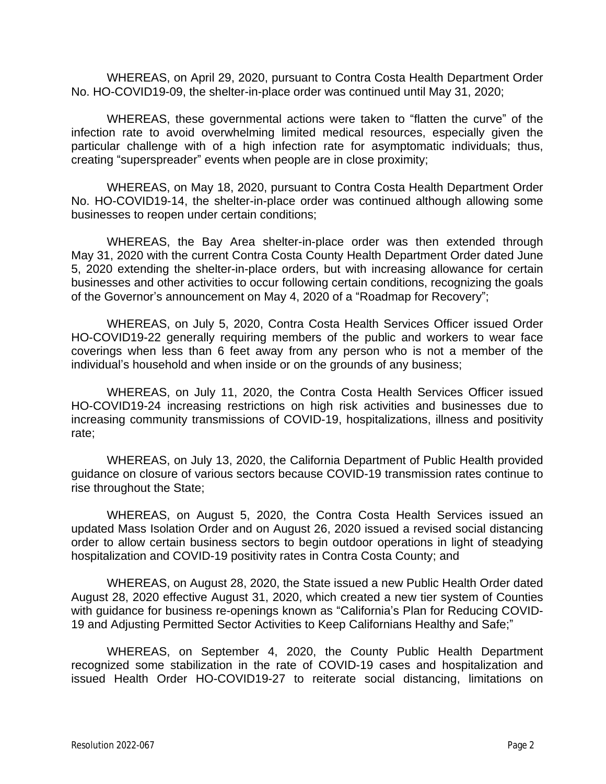WHEREAS, on April 29, 2020, pursuant to Contra Costa Health Department Order No. HO-COVID19-09, the shelter-in-place order was continued until May 31, 2020;

WHEREAS, these governmental actions were taken to "flatten the curve" of the infection rate to avoid overwhelming limited medical resources, especially given the particular challenge with of a high infection rate for asymptomatic individuals; thus, creating "superspreader" events when people are in close proximity;

WHEREAS, on May 18, 2020, pursuant to Contra Costa Health Department Order No. HO-COVID19-14, the shelter-in-place order was continued although allowing some businesses to reopen under certain conditions;

WHEREAS, the Bay Area shelter-in-place order was then extended through May 31, 2020 with the current Contra Costa County Health Department Order dated June 5, 2020 extending the shelter-in-place orders, but with increasing allowance for certain businesses and other activities to occur following certain conditions, recognizing the goals of the Governor's announcement on May 4, 2020 of a "Roadmap for Recovery";

WHEREAS, on July 5, 2020, Contra Costa Health Services Officer issued Order HO-COVID19-22 generally requiring members of the public and workers to wear face coverings when less than 6 feet away from any person who is not a member of the individual's household and when inside or on the grounds of any business;

WHEREAS, on July 11, 2020, the Contra Costa Health Services Officer issued HO-COVID19-24 increasing restrictions on high risk activities and businesses due to increasing community transmissions of COVID-19, hospitalizations, illness and positivity rate;

WHEREAS, on July 13, 2020, the California Department of Public Health provided guidance on closure of various sectors because COVID-19 transmission rates continue to rise throughout the State;

WHEREAS, on August 5, 2020, the Contra Costa Health Services issued an updated Mass Isolation Order and on August 26, 2020 issued a revised social distancing order to allow certain business sectors to begin outdoor operations in light of steadying hospitalization and COVID-19 positivity rates in Contra Costa County; and

WHEREAS, on August 28, 2020, the State issued a new Public Health Order dated August 28, 2020 effective August 31, 2020, which created a new tier system of Counties with guidance for business re-openings known as "California's Plan for Reducing COVID-19 and Adjusting Permitted Sector Activities to Keep Californians Healthy and Safe;"

WHEREAS, on September 4, 2020, the County Public Health Department recognized some stabilization in the rate of COVID-19 cases and hospitalization and issued Health Order HO-COVID19-27 to reiterate social distancing, limitations on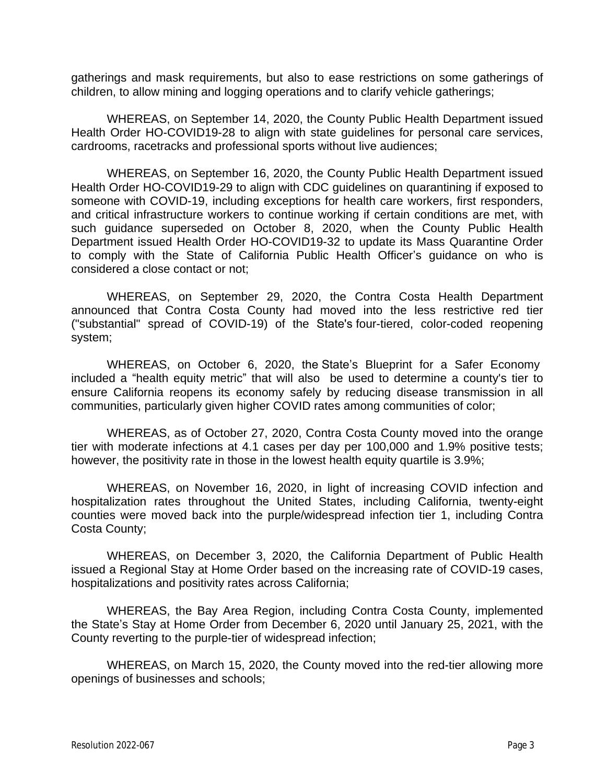gatherings and mask requirements, but also to ease restrictions on some gatherings of children, to allow mining and logging operations and to clarify vehicle gatherings;

WHEREAS, on September 14, 2020, the County Public Health Department issued Health Order HO-COVID19-28 to align with state guidelines for personal care services, cardrooms, racetracks and professional sports without live audiences;

WHEREAS, on September 16, 2020, the County Public Health Department issued Health Order HO-COVID19-29 to align with CDC guidelines on quarantining if exposed to someone with COVID-19, including exceptions for health care workers, first responders, and critical infrastructure workers to continue working if certain conditions are met, with such guidance superseded on October 8, 2020, when the County Public Health Department issued Health Order HO-COVID19-32 to update its Mass Quarantine Order to comply with the State of California Public Health Officer's guidance on who is considered a close contact or not;

WHEREAS, on September 29, 2020, the Contra Costa Health Department announced that Contra Costa County had moved into the less restrictive red tier ("substantial" spread of COVID-19) of the State's four-tiered, [color-coded](https://covid19.ca.gov/safer-economy/) reopening system;

WHEREAS, on October 6, 2020, the State's Blueprint for a Safer [Economy](https://www.cdph.ca.gov/Programs/CID/DCDC/Pages/COVID-19/COVID19CountyMonitoringOverview.aspx) included a "health equity metric" that will also be used to determine a county's tier to ensure California reopens its economy safely by reducing disease transmission in all communities, particularly given higher COVID rates among communities of color;

WHEREAS, as of October 27, 2020, Contra Costa County moved into the orange tier with moderate infections at 4.1 cases per day per 100,000 and 1.9% positive tests; however, the positivity rate in those in the lowest health equity quartile is 3.9%;

WHEREAS, on November 16, 2020, in light of increasing COVID infection and hospitalization rates throughout the United States, including California, twenty-eight counties were moved back into the purple/widespread infection tier 1, including Contra Costa County;

WHEREAS, on December 3, 2020, the California Department of Public Health issued a Regional Stay at Home Order based on the increasing rate of COVID-19 cases, hospitalizations and positivity rates across California;

WHEREAS, the Bay Area Region, including Contra Costa County, implemented the State's Stay at Home Order from December 6, 2020 until January 25, 2021, with the County reverting to the purple-tier of widespread infection;

WHEREAS, on March 15, 2020, the County moved into the red-tier allowing more openings of businesses and schools;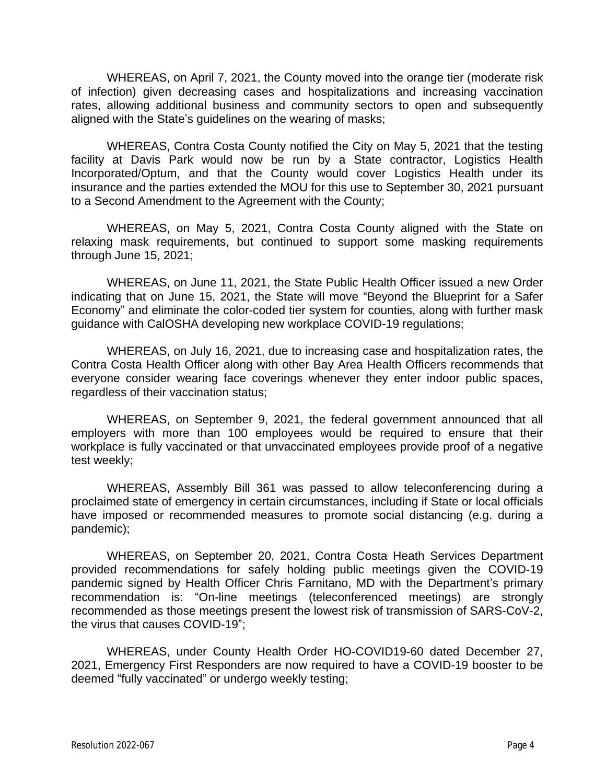WHEREAS, on April 7, 2021, the County moved into the orange tier (moderate risk of infection) given decreasing cases and hospitalizations and increasing vaccination rates, allowing additional business and community sectors to open and subsequently aligned with the State's guidelines on the wearing of masks;

WHEREAS, Contra Costa County notified the City on May 5, 2021 that the testing facility at Davis Park would now be run by a State contractor, Logistics Health Incorporated/Optum, and that the County would cover Logistics Health under its insurance and the parties extended the MOU for this use to September 30, 2021 pursuant to a Second Amendment to the Agreement with the County;

WHEREAS, on May 5, 2021, Contra Costa County aligned with the State on relaxing mask requirements, but continued to support some masking requirements through June 15, 2021;

WHEREAS, on June 11, 2021, the State Public Health Officer issued a new Order indicating that on June 15, 2021, the State will move "Beyond the Blueprint for a Safer Economy" and eliminate the color-coded tier system for counties, along with further mask guidance with CalOSHA developing new workplace COVID-19 regulations;

WHEREAS, on July 16, 2021, due to increasing case and hospitalization rates, the Contra Costa Health Officer along with other Bay Area Health Officers recommends that everyone consider wearing face coverings whenever they enter indoor public spaces, regardless of their vaccination status;

WHEREAS, on September 9, 2021, the federal government announced that all employers with more than 100 employees would be required to ensure that their workplace is fully vaccinated or that unvaccinated employees provide proof of a negative test weekly;

WHEREAS, Assembly Bill 361 was passed to allow teleconferencing during a proclaimed state of emergency in certain circumstances, including if State or local officials have imposed or recommended measures to promote social distancing (e.g. during a pandemic);

WHEREAS, on September 20, 2021, Contra Costa Heath Services Department provided recommendations for safely holding public meetings given the COVID-19 pandemic signed by Health Officer Chris Farnitano, MD with the Department's primary recommendation is: "On-line meetings (teleconferenced meetings) are strongly recommended as those meetings present the lowest risk of transmission of SARS-CoV-2, the virus that causes COVID-19";

WHEREAS, under County Health Order HO-COVID19-60 dated December 27, 2021, Emergency First Responders are now required to have a COVID-19 booster to be deemed "fully vaccinated" or undergo weekly testing;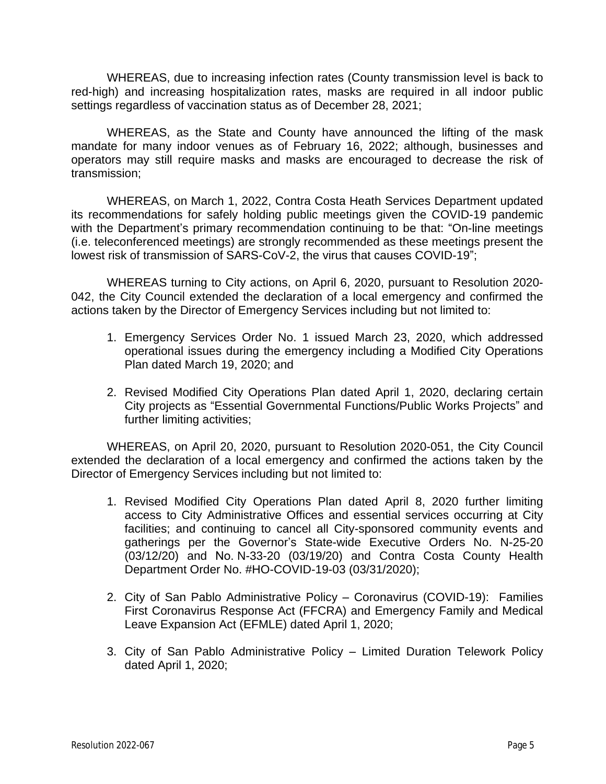WHEREAS, due to increasing infection rates (County transmission level is back to red-high) and increasing hospitalization rates, masks are required in all indoor public settings regardless of vaccination status as of December 28, 2021;

WHEREAS, as the State and County have announced the lifting of the mask mandate for many indoor venues as of February 16, 2022; although, businesses and operators may still require masks and masks are encouraged to decrease the risk of transmission;

WHEREAS, on March 1, 2022, Contra Costa Heath Services Department updated its recommendations for safely holding public meetings given the COVID-19 pandemic with the Department's primary recommendation continuing to be that: "On-line meetings (i.e. teleconferenced meetings) are strongly recommended as these meetings present the lowest risk of transmission of SARS-CoV-2, the virus that causes COVID-19";

WHEREAS turning to City actions, on April 6, 2020, pursuant to Resolution 2020- 042, the City Council extended the declaration of a local emergency and confirmed the actions taken by the Director of Emergency Services including but not limited to:

- 1. Emergency Services Order No. 1 issued March 23, 2020, which addressed operational issues during the emergency including a Modified City Operations Plan dated March 19, 2020; and
- 2. Revised Modified City Operations Plan dated April 1, 2020, declaring certain City projects as "Essential Governmental Functions/Public Works Projects" and further limiting activities;

WHEREAS, on April 20, 2020, pursuant to Resolution 2020-051, the City Council extended the declaration of a local emergency and confirmed the actions taken by the Director of Emergency Services including but not limited to:

- 1. Revised Modified City Operations Plan dated April 8, 2020 further limiting access to City Administrative Offices and essential services occurring at City facilities; and continuing to cancel all City-sponsored community events and gatherings per the Governor's State-wide Executive Orders No. N-25-20 (03/12/20) and No. N-33-20 (03/19/20) and Contra Costa County Health Department Order No. #HO-COVID-19-03 (03/31/2020);
- 2. City of San Pablo Administrative Policy Coronavirus (COVID-19): Families First Coronavirus Response Act (FFCRA) and Emergency Family and Medical Leave Expansion Act (EFMLE) dated April 1, 2020;
- 3. City of San Pablo Administrative Policy Limited Duration Telework Policy dated April 1, 2020;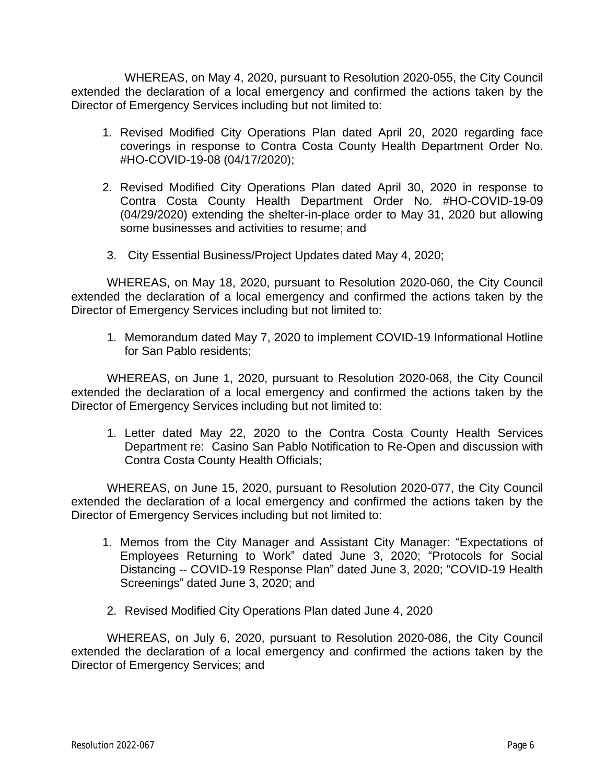WHEREAS, on May 4, 2020, pursuant to Resolution 2020-055, the City Council extended the declaration of a local emergency and confirmed the actions taken by the Director of Emergency Services including but not limited to:

- 1. Revised Modified City Operations Plan dated April 20, 2020 regarding face coverings in response to Contra Costa County Health Department Order No. #HO-COVID-19-08 (04/17/2020);
- 2. Revised Modified City Operations Plan dated April 30, 2020 in response to Contra Costa County Health Department Order No. #HO-COVID-19-09 (04/29/2020) extending the shelter-in-place order to May 31, 2020 but allowing some businesses and activities to resume; and
- 3. City Essential Business/Project Updates dated May 4, 2020;

WHEREAS, on May 18, 2020, pursuant to Resolution 2020-060, the City Council extended the declaration of a local emergency and confirmed the actions taken by the Director of Emergency Services including but not limited to:

1. Memorandum dated May 7, 2020 to implement COVID-19 Informational Hotline for San Pablo residents;

WHEREAS, on June 1, 2020, pursuant to Resolution 2020-068, the City Council extended the declaration of a local emergency and confirmed the actions taken by the Director of Emergency Services including but not limited to:

1. Letter dated May 22, 2020 to the Contra Costa County Health Services Department re: Casino San Pablo Notification to Re-Open and discussion with Contra Costa County Health Officials;

WHEREAS, on June 15, 2020, pursuant to Resolution 2020-077, the City Council extended the declaration of a local emergency and confirmed the actions taken by the Director of Emergency Services including but not limited to:

- 1. Memos from the City Manager and Assistant City Manager: "Expectations of Employees Returning to Work" dated June 3, 2020; "Protocols for Social Distancing -- COVID-19 Response Plan" dated June 3, 2020; "COVID-19 Health Screenings" dated June 3, 2020; and
- 2. Revised Modified City Operations Plan dated June 4, 2020

WHEREAS, on July 6, 2020, pursuant to Resolution 2020-086, the City Council extended the declaration of a local emergency and confirmed the actions taken by the Director of Emergency Services; and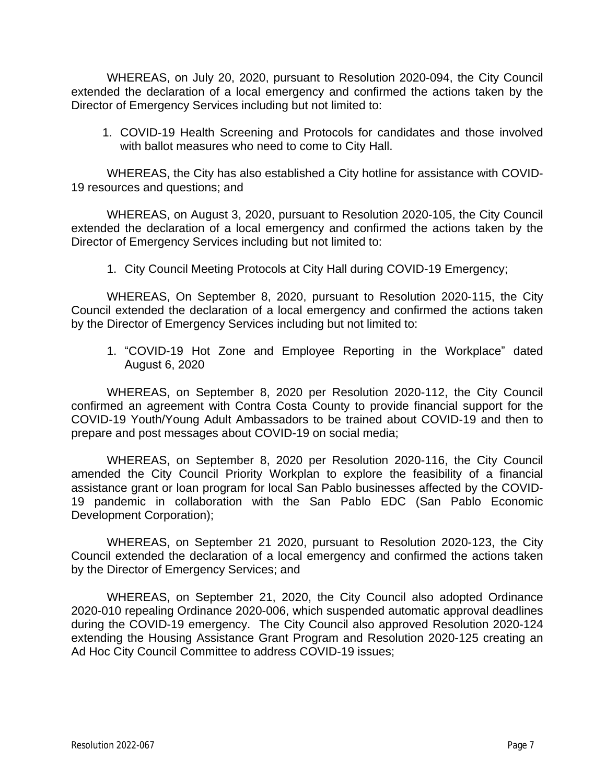WHEREAS, on July 20, 2020, pursuant to Resolution 2020-094, the City Council extended the declaration of a local emergency and confirmed the actions taken by the Director of Emergency Services including but not limited to:

1. COVID-19 Health Screening and Protocols for candidates and those involved with ballot measures who need to come to City Hall.

WHEREAS, the City has also established a City hotline for assistance with COVID-19 resources and questions; and

WHEREAS, on August 3, 2020, pursuant to Resolution 2020-105, the City Council extended the declaration of a local emergency and confirmed the actions taken by the Director of Emergency Services including but not limited to:

1. City Council Meeting Protocols at City Hall during COVID-19 Emergency;

WHEREAS, On September 8, 2020, pursuant to Resolution 2020-115, the City Council extended the declaration of a local emergency and confirmed the actions taken by the Director of Emergency Services including but not limited to:

1. "COVID-19 Hot Zone and Employee Reporting in the Workplace" dated August 6, 2020

WHEREAS, on September 8, 2020 per Resolution 2020-112, the City Council confirmed an agreement with Contra Costa County to provide financial support for the COVID-19 Youth/Young Adult Ambassadors to be trained about COVID-19 and then to prepare and post messages about COVID-19 on social media;

WHEREAS, on September 8, 2020 per Resolution 2020-116, the City Council amended the City Council Priority Workplan to explore the feasibility of a financial assistance grant or loan program for local San Pablo businesses affected by the COVID-19 pandemic in collaboration with the San Pablo EDC (San Pablo Economic Development Corporation);

WHEREAS, on September 21 2020, pursuant to Resolution 2020-123, the City Council extended the declaration of a local emergency and confirmed the actions taken by the Director of Emergency Services; and

WHEREAS, on September 21, 2020, the City Council also adopted Ordinance 2020-010 repealing Ordinance 2020-006, which suspended automatic approval deadlines during the COVID-19 emergency. The City Council also approved Resolution 2020-124 extending the Housing Assistance Grant Program and Resolution 2020-125 creating an Ad Hoc City Council Committee to address COVID-19 issues;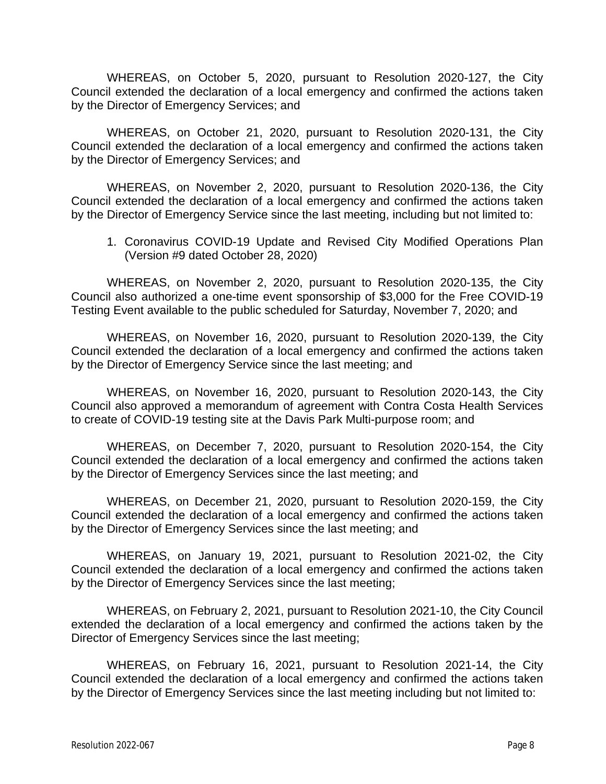WHEREAS, on October 5, 2020, pursuant to Resolution 2020-127, the City Council extended the declaration of a local emergency and confirmed the actions taken by the Director of Emergency Services; and

WHEREAS, on October 21, 2020, pursuant to Resolution 2020-131, the City Council extended the declaration of a local emergency and confirmed the actions taken by the Director of Emergency Services; and

WHEREAS, on November 2, 2020, pursuant to Resolution 2020-136, the City Council extended the declaration of a local emergency and confirmed the actions taken by the Director of Emergency Service since the last meeting, including but not limited to:

1. Coronavirus COVID-19 Update and Revised City Modified Operations Plan (Version #9 dated October 28, 2020)

WHEREAS, on November 2, 2020, pursuant to Resolution 2020-135, the City Council also authorized a one-time event sponsorship of \$3,000 for the Free COVID-19 Testing Event available to the public scheduled for Saturday, November 7, 2020; and

WHEREAS, on November 16, 2020, pursuant to Resolution 2020-139, the City Council extended the declaration of a local emergency and confirmed the actions taken by the Director of Emergency Service since the last meeting; and

WHEREAS, on November 16, 2020, pursuant to Resolution 2020-143, the City Council also approved a memorandum of agreement with Contra Costa Health Services to create of COVID-19 testing site at the Davis Park Multi-purpose room; and

WHEREAS, on December 7, 2020, pursuant to Resolution 2020-154, the City Council extended the declaration of a local emergency and confirmed the actions taken by the Director of Emergency Services since the last meeting; and

WHEREAS, on December 21, 2020, pursuant to Resolution 2020-159, the City Council extended the declaration of a local emergency and confirmed the actions taken by the Director of Emergency Services since the last meeting; and

WHEREAS, on January 19, 2021, pursuant to Resolution 2021-02, the City Council extended the declaration of a local emergency and confirmed the actions taken by the Director of Emergency Services since the last meeting;

WHEREAS, on February 2, 2021, pursuant to Resolution 2021-10, the City Council extended the declaration of a local emergency and confirmed the actions taken by the Director of Emergency Services since the last meeting;

WHEREAS, on February 16, 2021, pursuant to Resolution 2021-14, the City Council extended the declaration of a local emergency and confirmed the actions taken by the Director of Emergency Services since the last meeting including but not limited to: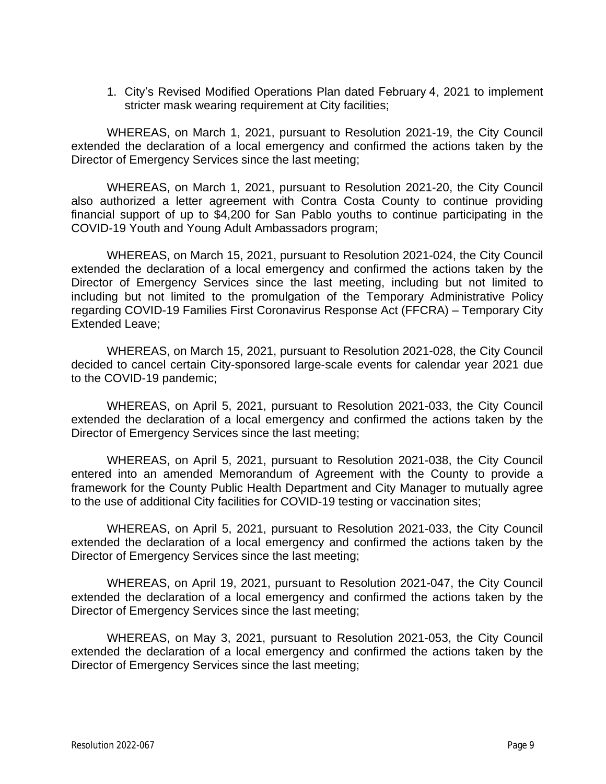1. City's Revised Modified Operations Plan dated February 4, 2021 to implement stricter mask wearing requirement at City facilities;

WHEREAS, on March 1, 2021, pursuant to Resolution 2021-19, the City Council extended the declaration of a local emergency and confirmed the actions taken by the Director of Emergency Services since the last meeting;

WHEREAS, on March 1, 2021, pursuant to Resolution 2021-20, the City Council also authorized a letter agreement with Contra Costa County to continue providing financial support of up to \$4,200 for San Pablo youths to continue participating in the COVID-19 Youth and Young Adult Ambassadors program;

WHEREAS, on March 15, 2021, pursuant to Resolution 2021-024, the City Council extended the declaration of a local emergency and confirmed the actions taken by the Director of Emergency Services since the last meeting, including but not limited to including but not limited to the promulgation of the Temporary Administrative Policy regarding COVID-19 Families First Coronavirus Response Act (FFCRA) – Temporary City Extended Leave;

WHEREAS, on March 15, 2021, pursuant to Resolution 2021-028, the City Council decided to cancel certain City-sponsored large-scale events for calendar year 2021 due to the COVID-19 pandemic;

WHEREAS, on April 5, 2021, pursuant to Resolution 2021-033, the City Council extended the declaration of a local emergency and confirmed the actions taken by the Director of Emergency Services since the last meeting;

WHEREAS, on April 5, 2021, pursuant to Resolution 2021-038, the City Council entered into an amended Memorandum of Agreement with the County to provide a framework for the County Public Health Department and City Manager to mutually agree to the use of additional City facilities for COVID-19 testing or vaccination sites;

WHEREAS, on April 5, 2021, pursuant to Resolution 2021-033, the City Council extended the declaration of a local emergency and confirmed the actions taken by the Director of Emergency Services since the last meeting;

WHEREAS, on April 19, 2021, pursuant to Resolution 2021-047, the City Council extended the declaration of a local emergency and confirmed the actions taken by the Director of Emergency Services since the last meeting;

WHEREAS, on May 3, 2021, pursuant to Resolution 2021-053, the City Council extended the declaration of a local emergency and confirmed the actions taken by the Director of Emergency Services since the last meeting;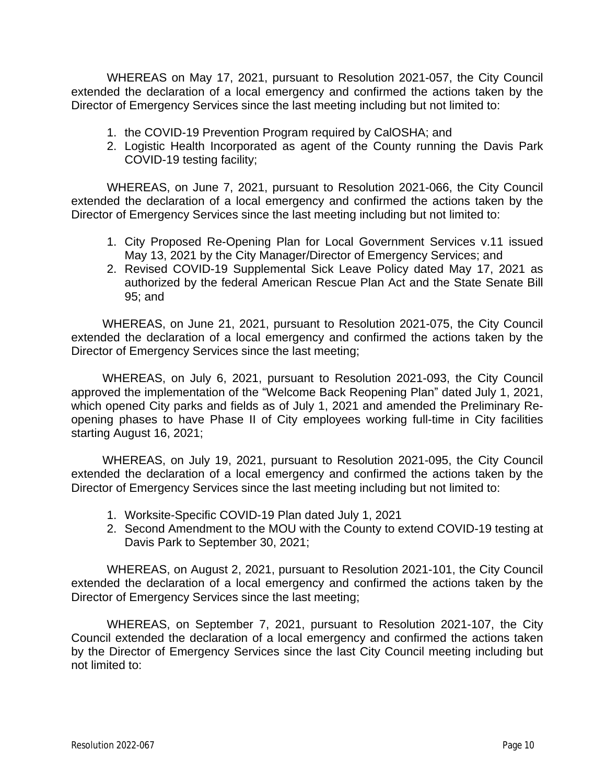WHEREAS on May 17, 2021, pursuant to Resolution 2021-057, the City Council extended the declaration of a local emergency and confirmed the actions taken by the Director of Emergency Services since the last meeting including but not limited to:

- 1. the COVID-19 Prevention Program required by CalOSHA; and
- 2. Logistic Health Incorporated as agent of the County running the Davis Park COVID-19 testing facility;

WHEREAS, on June 7, 2021, pursuant to Resolution 2021-066, the City Council extended the declaration of a local emergency and confirmed the actions taken by the Director of Emergency Services since the last meeting including but not limited to:

- 1. City Proposed Re-Opening Plan for Local Government Services v.11 issued May 13, 2021 by the City Manager/Director of Emergency Services; and
- 2. Revised COVID-19 Supplemental Sick Leave Policy dated May 17, 2021 as authorized by the federal American Rescue Plan Act and the State Senate Bill 95; and

WHEREAS, on June 21, 2021, pursuant to Resolution 2021-075, the City Council extended the declaration of a local emergency and confirmed the actions taken by the Director of Emergency Services since the last meeting;

WHEREAS, on July 6, 2021, pursuant to Resolution 2021-093, the City Council approved the implementation of the "Welcome Back Reopening Plan" dated July 1, 2021, which opened City parks and fields as of July 1, 2021 and amended the Preliminary Reopening phases to have Phase II of City employees working full-time in City facilities starting August 16, 2021;

WHEREAS, on July 19, 2021, pursuant to Resolution 2021-095, the City Council extended the declaration of a local emergency and confirmed the actions taken by the Director of Emergency Services since the last meeting including but not limited to:

- 1. Worksite-Specific COVID-19 Plan dated July 1, 2021
- 2. Second Amendment to the MOU with the County to extend COVID-19 testing at Davis Park to September 30, 2021;

WHEREAS, on August 2, 2021, pursuant to Resolution 2021-101, the City Council extended the declaration of a local emergency and confirmed the actions taken by the Director of Emergency Services since the last meeting;

WHEREAS, on September 7, 2021, pursuant to Resolution 2021-107, the City Council extended the declaration of a local emergency and confirmed the actions taken by the Director of Emergency Services since the last City Council meeting including but not limited to: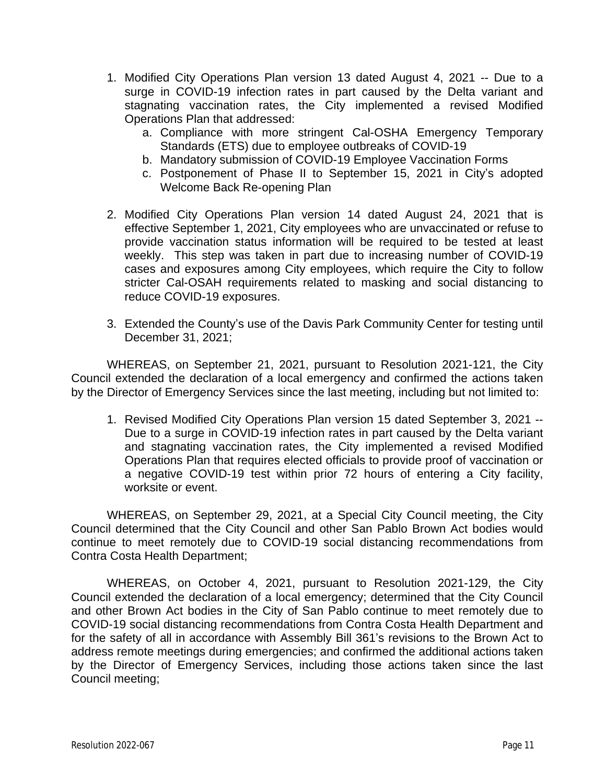- 1. Modified City Operations Plan version 13 dated August 4, 2021 -- Due to a surge in COVID-19 infection rates in part caused by the Delta variant and stagnating vaccination rates, the City implemented a revised Modified Operations Plan that addressed:
	- a. Compliance with more stringent Cal-OSHA Emergency Temporary Standards (ETS) due to employee outbreaks of COVID-19
	- b. Mandatory submission of COVID-19 Employee Vaccination Forms
	- c. Postponement of Phase II to September 15, 2021 in City's adopted Welcome Back Re-opening Plan
- 2. Modified City Operations Plan version 14 dated August 24, 2021 that is effective September 1, 2021, City employees who are unvaccinated or refuse to provide vaccination status information will be required to be tested at least weekly. This step was taken in part due to increasing number of COVID-19 cases and exposures among City employees, which require the City to follow stricter Cal-OSAH requirements related to masking and social distancing to reduce COVID-19 exposures.
- 3. Extended the County's use of the Davis Park Community Center for testing until December 31, 2021;

WHEREAS, on September 21, 2021, pursuant to Resolution 2021-121, the City Council extended the declaration of a local emergency and confirmed the actions taken by the Director of Emergency Services since the last meeting, including but not limited to:

1. Revised Modified City Operations Plan version 15 dated September 3, 2021 -- Due to a surge in COVID-19 infection rates in part caused by the Delta variant and stagnating vaccination rates, the City implemented a revised Modified Operations Plan that requires elected officials to provide proof of vaccination or a negative COVID-19 test within prior 72 hours of entering a City facility, worksite or event.

WHEREAS, on September 29, 2021, at a Special City Council meeting, the City Council determined that the City Council and other San Pablo Brown Act bodies would continue to meet remotely due to COVID-19 social distancing recommendations from Contra Costa Health Department;

WHEREAS, on October 4, 2021, pursuant to Resolution 2021-129, the City Council extended the declaration of a local emergency; determined that the City Council and other Brown Act bodies in the City of San Pablo continue to meet remotely due to COVID-19 social distancing recommendations from Contra Costa Health Department and for the safety of all in accordance with Assembly Bill 361's revisions to the Brown Act to address remote meetings during emergencies; and confirmed the additional actions taken by the Director of Emergency Services, including those actions taken since the last Council meeting;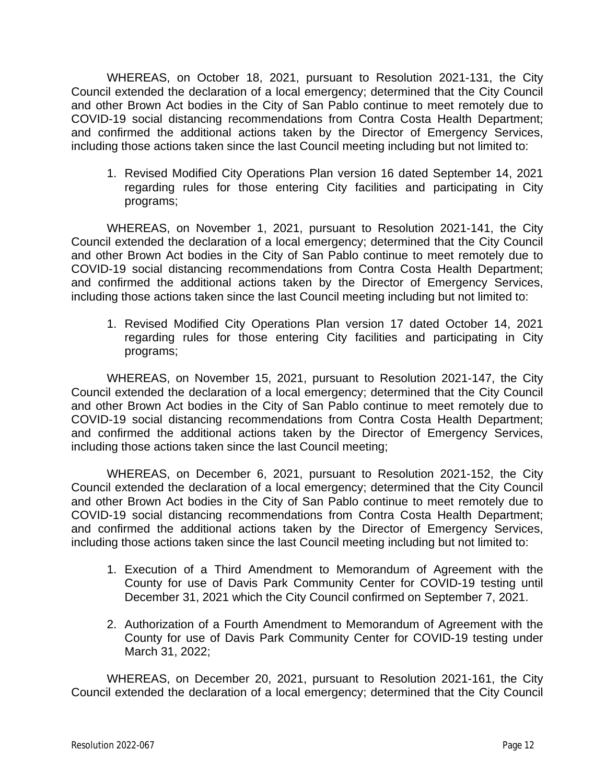WHEREAS, on October 18, 2021, pursuant to Resolution 2021-131, the City Council extended the declaration of a local emergency; determined that the City Council and other Brown Act bodies in the City of San Pablo continue to meet remotely due to COVID-19 social distancing recommendations from Contra Costa Health Department; and confirmed the additional actions taken by the Director of Emergency Services, including those actions taken since the last Council meeting including but not limited to:

1. Revised Modified City Operations Plan version 16 dated September 14, 2021 regarding rules for those entering City facilities and participating in City programs;

WHEREAS, on November 1, 2021, pursuant to Resolution 2021-141, the City Council extended the declaration of a local emergency; determined that the City Council and other Brown Act bodies in the City of San Pablo continue to meet remotely due to COVID-19 social distancing recommendations from Contra Costa Health Department; and confirmed the additional actions taken by the Director of Emergency Services, including those actions taken since the last Council meeting including but not limited to:

1. Revised Modified City Operations Plan version 17 dated October 14, 2021 regarding rules for those entering City facilities and participating in City programs;

WHEREAS, on November 15, 2021, pursuant to Resolution 2021-147, the City Council extended the declaration of a local emergency; determined that the City Council and other Brown Act bodies in the City of San Pablo continue to meet remotely due to COVID-19 social distancing recommendations from Contra Costa Health Department; and confirmed the additional actions taken by the Director of Emergency Services, including those actions taken since the last Council meeting;

WHEREAS, on December 6, 2021, pursuant to Resolution 2021-152, the City Council extended the declaration of a local emergency; determined that the City Council and other Brown Act bodies in the City of San Pablo continue to meet remotely due to COVID-19 social distancing recommendations from Contra Costa Health Department; and confirmed the additional actions taken by the Director of Emergency Services, including those actions taken since the last Council meeting including but not limited to:

- 1. Execution of a Third Amendment to Memorandum of Agreement with the County for use of Davis Park Community Center for COVID-19 testing until December 31, 2021 which the City Council confirmed on September 7, 2021.
- 2. Authorization of a Fourth Amendment to Memorandum of Agreement with the County for use of Davis Park Community Center for COVID-19 testing under March 31, 2022;

WHEREAS, on December 20, 2021, pursuant to Resolution 2021-161, the City Council extended the declaration of a local emergency; determined that the City Council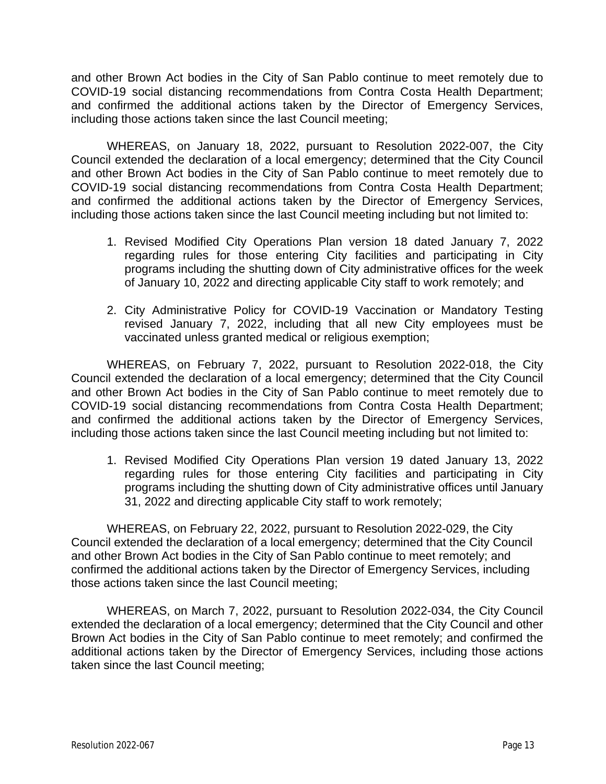and other Brown Act bodies in the City of San Pablo continue to meet remotely due to COVID-19 social distancing recommendations from Contra Costa Health Department; and confirmed the additional actions taken by the Director of Emergency Services, including those actions taken since the last Council meeting;

WHEREAS, on January 18, 2022, pursuant to Resolution 2022-007, the City Council extended the declaration of a local emergency; determined that the City Council and other Brown Act bodies in the City of San Pablo continue to meet remotely due to COVID-19 social distancing recommendations from Contra Costa Health Department; and confirmed the additional actions taken by the Director of Emergency Services, including those actions taken since the last Council meeting including but not limited to:

- 1. Revised Modified City Operations Plan version 18 dated January 7, 2022 regarding rules for those entering City facilities and participating in City programs including the shutting down of City administrative offices for the week of January 10, 2022 and directing applicable City staff to work remotely; and
- 2. City Administrative Policy for COVID-19 Vaccination or Mandatory Testing revised January 7, 2022, including that all new City employees must be vaccinated unless granted medical or religious exemption;

WHEREAS, on February 7, 2022, pursuant to Resolution 2022-018, the City Council extended the declaration of a local emergency; determined that the City Council and other Brown Act bodies in the City of San Pablo continue to meet remotely due to COVID-19 social distancing recommendations from Contra Costa Health Department; and confirmed the additional actions taken by the Director of Emergency Services, including those actions taken since the last Council meeting including but not limited to:

1. Revised Modified City Operations Plan version 19 dated January 13, 2022 regarding rules for those entering City facilities and participating in City programs including the shutting down of City administrative offices until January 31, 2022 and directing applicable City staff to work remotely;

WHEREAS, on February 22, 2022, pursuant to Resolution 2022-029, the City Council extended the declaration of a local emergency; determined that the City Council and other Brown Act bodies in the City of San Pablo continue to meet remotely; and confirmed the additional actions taken by the Director of Emergency Services, including those actions taken since the last Council meeting;

WHEREAS, on March 7, 2022, pursuant to Resolution 2022-034, the City Council extended the declaration of a local emergency; determined that the City Council and other Brown Act bodies in the City of San Pablo continue to meet remotely; and confirmed the additional actions taken by the Director of Emergency Services, including those actions taken since the last Council meeting;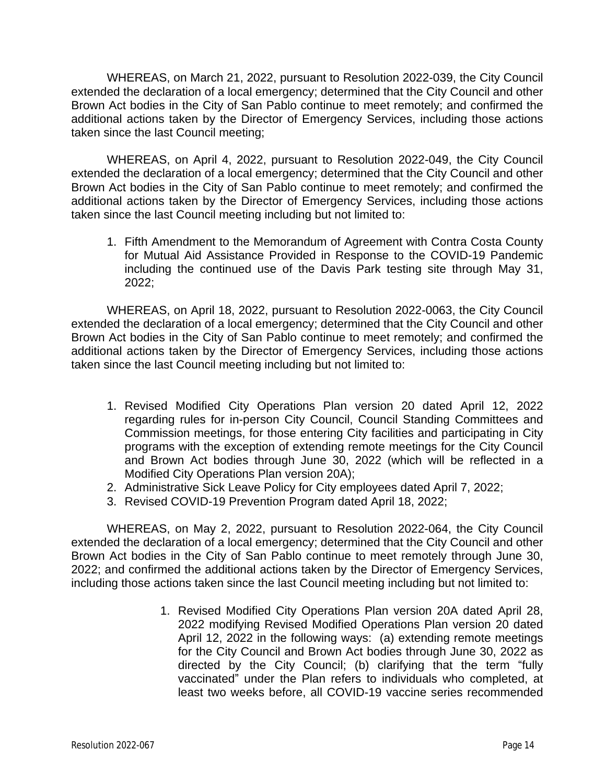WHEREAS, on March 21, 2022, pursuant to Resolution 2022-039, the City Council extended the declaration of a local emergency; determined that the City Council and other Brown Act bodies in the City of San Pablo continue to meet remotely; and confirmed the additional actions taken by the Director of Emergency Services, including those actions taken since the last Council meeting;

WHEREAS, on April 4, 2022, pursuant to Resolution 2022-049, the City Council extended the declaration of a local emergency; determined that the City Council and other Brown Act bodies in the City of San Pablo continue to meet remotely; and confirmed the additional actions taken by the Director of Emergency Services, including those actions taken since the last Council meeting including but not limited to:

1. Fifth Amendment to the Memorandum of Agreement with Contra Costa County for Mutual Aid Assistance Provided in Response to the COVID-19 Pandemic including the continued use of the Davis Park testing site through May 31, 2022;

WHEREAS, on April 18, 2022, pursuant to Resolution 2022-0063, the City Council extended the declaration of a local emergency; determined that the City Council and other Brown Act bodies in the City of San Pablo continue to meet remotely; and confirmed the additional actions taken by the Director of Emergency Services, including those actions taken since the last Council meeting including but not limited to:

- 1. Revised Modified City Operations Plan version 20 dated April 12, 2022 regarding rules for in-person City Council, Council Standing Committees and Commission meetings, for those entering City facilities and participating in City programs with the exception of extending remote meetings for the City Council and Brown Act bodies through June 30, 2022 (which will be reflected in a Modified City Operations Plan version 20A);
- 2. Administrative Sick Leave Policy for City employees dated April 7, 2022;
- 3. Revised COVID-19 Prevention Program dated April 18, 2022;

WHEREAS, on May 2, 2022, pursuant to Resolution 2022-064, the City Council extended the declaration of a local emergency; determined that the City Council and other Brown Act bodies in the City of San Pablo continue to meet remotely through June 30, 2022; and confirmed the additional actions taken by the Director of Emergency Services, including those actions taken since the last Council meeting including but not limited to:

> 1. Revised Modified City Operations Plan version 20A dated April 28, 2022 modifying Revised Modified Operations Plan version 20 dated April 12, 2022 in the following ways: (a) extending remote meetings for the City Council and Brown Act bodies through June 30, 2022 as directed by the City Council; (b) clarifying that the term "fully vaccinated" under the Plan refers to individuals who completed, at least two weeks before, all COVID-19 vaccine series recommended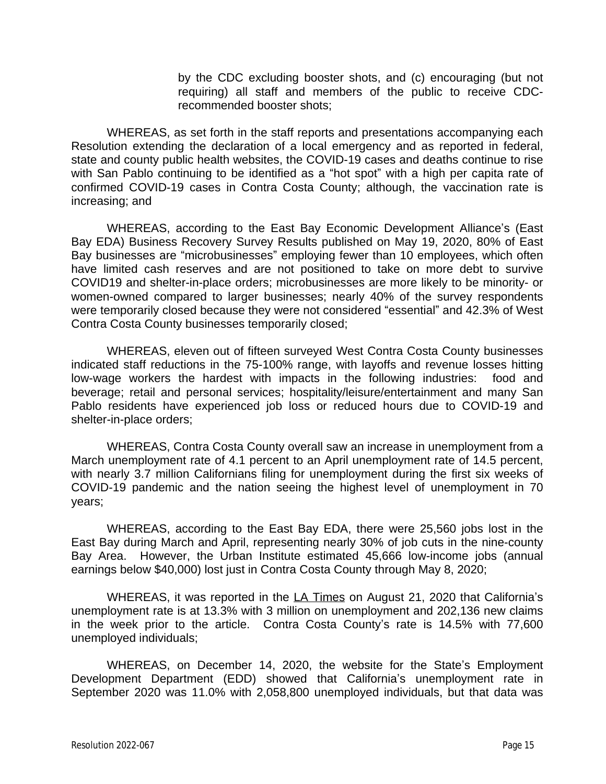by the CDC excluding booster shots, and (c) encouraging (but not requiring) all staff and members of the public to receive CDCrecommended booster shots;

WHEREAS, as set forth in the staff reports and presentations accompanying each Resolution extending the declaration of a local emergency and as reported in federal, state and county public health websites, the COVID-19 cases and deaths continue to rise with San Pablo continuing to be identified as a "hot spot" with a high per capita rate of confirmed COVID-19 cases in Contra Costa County; although, the vaccination rate is increasing; and

WHEREAS, according to the East Bay Economic Development Alliance's (East Bay EDA) Business Recovery Survey Results published on May 19, 2020, 80% of East Bay businesses are "microbusinesses" employing fewer than 10 employees, which often have limited cash reserves and are not positioned to take on more debt to survive COVID19 and shelter-in-place orders; microbusinesses are more likely to be minority- or women-owned compared to larger businesses; nearly 40% of the survey respondents were temporarily closed because they were not considered "essential" and 42.3% of West Contra Costa County businesses temporarily closed;

WHEREAS, eleven out of fifteen surveyed West Contra Costa County businesses indicated staff reductions in the 75-100% range, with layoffs and revenue losses hitting low-wage workers the hardest with impacts in the following industries: food and beverage; retail and personal services; hospitality/leisure/entertainment and many San Pablo residents have experienced job loss or reduced hours due to COVID-19 and shelter-in-place orders;

WHEREAS, Contra Costa County overall saw an increase in unemployment from a March unemployment rate of 4.1 percent to an April unemployment rate of 14.5 percent, with nearly 3.7 million Californians filing for unemployment during the first six weeks of COVID-19 pandemic and the nation seeing the highest level of unemployment in 70 years;

WHEREAS, according to the East Bay EDA, there were 25,560 jobs lost in the East Bay during March and April, representing nearly 30% of job cuts in the nine-county Bay Area. However, the Urban Institute estimated 45,666 low-income jobs (annual earnings below \$40,000) lost just in Contra Costa County through May 8, 2020;

WHEREAS, it was reported in the LA Times on August 21, 2020 that California's unemployment rate is at 13.3% with 3 million on unemployment and 202,136 new claims in the week prior to the article. Contra Costa County's rate is 14.5% with 77,600 unemployed individuals;

WHEREAS, on December 14, 2020, the website for the State's Employment Development Department (EDD) showed that California's unemployment rate in September 2020 was 11.0% with 2,058,800 unemployed individuals, but that data was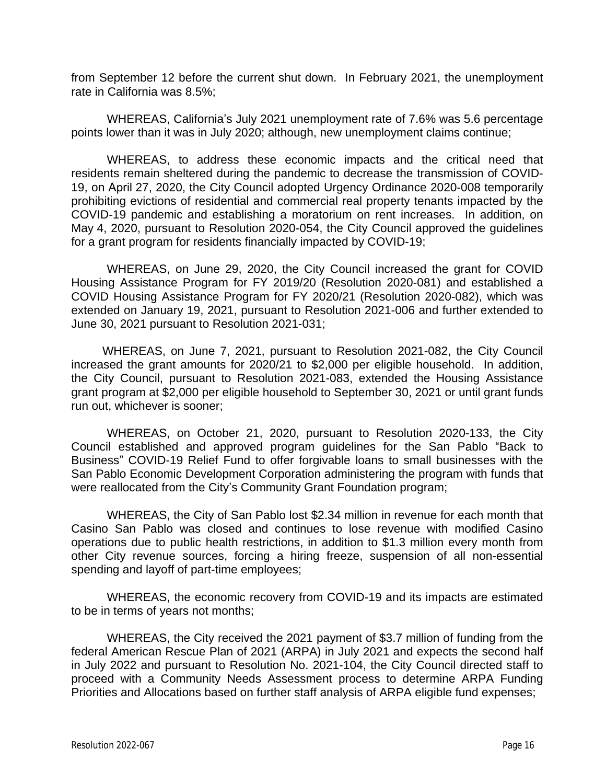from September 12 before the current shut down. In February 2021, the unemployment rate in California was 8.5%;

WHEREAS, California's July 2021 unemployment rate of 7.6% was 5.6 percentage points lower than it was in July 2020; although, new unemployment claims continue;

WHEREAS, to address these economic impacts and the critical need that residents remain sheltered during the pandemic to decrease the transmission of COVID-19, on April 27, 2020, the City Council adopted Urgency Ordinance 2020-008 temporarily prohibiting evictions of residential and commercial real property tenants impacted by the COVID-19 pandemic and establishing a moratorium on rent increases. In addition, on May 4, 2020, pursuant to Resolution 2020-054, the City Council approved the guidelines for a grant program for residents financially impacted by COVID-19;

WHEREAS, on June 29, 2020, the City Council increased the grant for COVID Housing Assistance Program for FY 2019/20 (Resolution 2020-081) and established a COVID Housing Assistance Program for FY 2020/21 (Resolution 2020-082), which was extended on January 19, 2021, pursuant to Resolution 2021-006 and further extended to June 30, 2021 pursuant to Resolution 2021-031;

WHEREAS, on June 7, 2021, pursuant to Resolution 2021-082, the City Council increased the grant amounts for 2020/21 to \$2,000 per eligible household. In addition, the City Council, pursuant to Resolution 2021-083, extended the Housing Assistance grant program at \$2,000 per eligible household to September 30, 2021 or until grant funds run out, whichever is sooner;

WHEREAS, on October 21, 2020, pursuant to Resolution 2020-133, the City Council established and approved program guidelines for the San Pablo "Back to Business" COVID-19 Relief Fund to offer forgivable loans to small businesses with the San Pablo Economic Development Corporation administering the program with funds that were reallocated from the City's Community Grant Foundation program;

WHEREAS, the City of San Pablo lost \$2.34 million in revenue for each month that Casino San Pablo was closed and continues to lose revenue with modified Casino operations due to public health restrictions, in addition to \$1.3 million every month from other City revenue sources, forcing a hiring freeze, suspension of all non-essential spending and layoff of part-time employees;

WHEREAS, the economic recovery from COVID-19 and its impacts are estimated to be in terms of years not months;

WHEREAS, the City received the 2021 payment of \$3.7 million of funding from the federal American Rescue Plan of 2021 (ARPA) in July 2021 and expects the second half in July 2022 and pursuant to Resolution No. 2021-104, the City Council directed staff to proceed with a Community Needs Assessment process to determine ARPA Funding Priorities and Allocations based on further staff analysis of ARPA eligible fund expenses;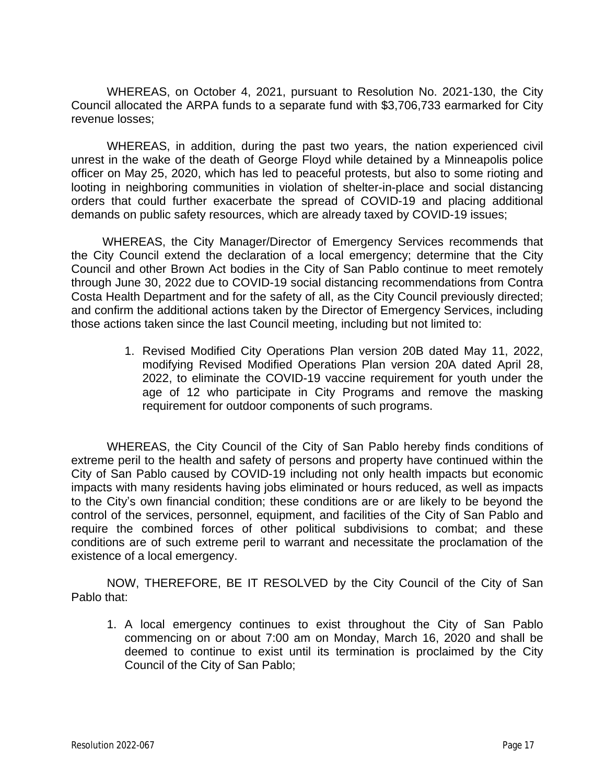WHEREAS, on October 4, 2021, pursuant to Resolution No. 2021-130, the City Council allocated the ARPA funds to a separate fund with \$3,706,733 earmarked for City revenue losses;

WHEREAS, in addition, during the past two years, the nation experienced civil unrest in the wake of the death of George Floyd while detained by a Minneapolis police officer on May 25, 2020, which has led to peaceful protests, but also to some rioting and looting in neighboring communities in violation of shelter-in-place and social distancing orders that could further exacerbate the spread of COVID-19 and placing additional demands on public safety resources, which are already taxed by COVID-19 issues;

WHEREAS, the City Manager/Director of Emergency Services recommends that the City Council extend the declaration of a local emergency; determine that the City Council and other Brown Act bodies in the City of San Pablo continue to meet remotely through June 30, 2022 due to COVID-19 social distancing recommendations from Contra Costa Health Department and for the safety of all, as the City Council previously directed; and confirm the additional actions taken by the Director of Emergency Services, including those actions taken since the last Council meeting, including but not limited to:

> 1. Revised Modified City Operations Plan version 20B dated May 11, 2022, modifying Revised Modified Operations Plan version 20A dated April 28, 2022, to eliminate the COVID-19 vaccine requirement for youth under the age of 12 who participate in City Programs and remove the masking requirement for outdoor components of such programs.

WHEREAS, the City Council of the City of San Pablo hereby finds conditions of extreme peril to the health and safety of persons and property have continued within the City of San Pablo caused by COVID-19 including not only health impacts but economic impacts with many residents having jobs eliminated or hours reduced, as well as impacts to the City's own financial condition; these conditions are or are likely to be beyond the control of the services, personnel, equipment, and facilities of the City of San Pablo and require the combined forces of other political subdivisions to combat; and these conditions are of such extreme peril to warrant and necessitate the proclamation of the existence of a local emergency.

NOW, THEREFORE, BE IT RESOLVED by the City Council of the City of San Pablo that:

1. A local emergency continues to exist throughout the City of San Pablo commencing on or about 7:00 am on Monday, March 16, 2020 and shall be deemed to continue to exist until its termination is proclaimed by the City Council of the City of San Pablo;